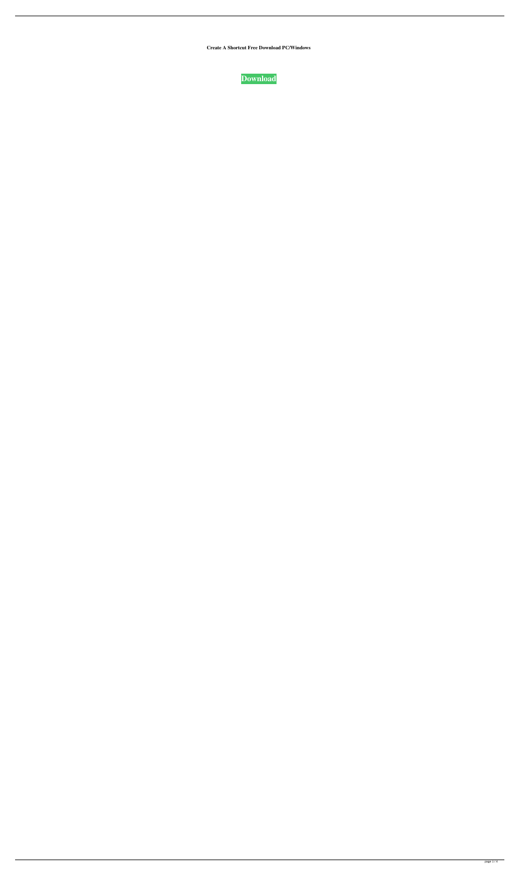**Create A Shortcut Free Download PC/Windows**

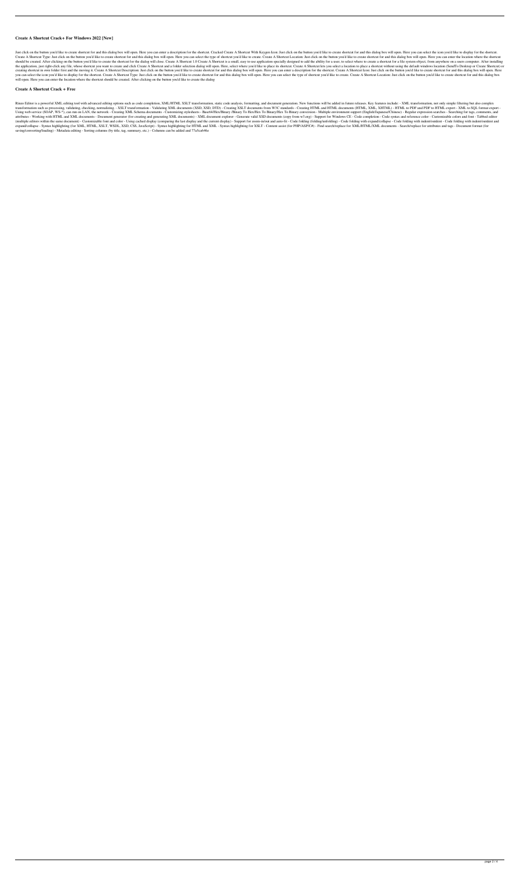## **Create A Shortcut Crack+ For Windows 2022 [New]**

Just click on the button you'd like to create shortcut for and this dialog box will open. Here you can enter a description for the shortcut. Cracked Create A Shortcut With Keygen Icon: Just click on the button you'd like t Create A Shortcut Type: Just click on the button you'd like to create shortcut for and this dialog box will open. Here you can select the type of shortcut you'd like to create. Create A Shortcut Location: Just click on the should be created. After clicking on the button you'd like to create the shortcut for the dialog will close. Create A Shortcut 1.0 Create A Shortcut is a small, easy to use application specially designed to add the ability the application, just right-click any file, whose shortcut you want to create and click Create A Shortcut and a folder selection dialog will open. Here, select where you'd like to place its shortcut lets you select a locat creating shortcut in own folder first and the moving it. Create A Shortcut Description: Just click on the button you'd like to create shortcut for and this dialog box will open. Here you can enter a description for the sho you can select the icon you'd like to display for the shortcut. Create A Shortcut Type: Just click on the button you'd like to create shortcut for and this dialog box will open. Here you can select the type of shortcut you will open. Here you can enter the location where the shortcut should be created. After clicking on the button you'd like to create the dialog

Rinzo Editor is a powerful XML editing tool with advanced editing options such as code completion, XML/HTML XSLT transformation, static code analysis, formatting, and document generation. New functions will be added in fut transformation such as processing, validating, checking, normalizing, - XSLT transformation - Validating XML documents (XSD, XSD, DTD) - Creating XSLT documents from W3C standards - Creating HTML and HTML documents (HTML, Using web service (SOAP, WS-\*), can run on LAN, the network - Creating XML Schema documents - Customizing stylesheets - Base64/Hex/Binary 70 Hex/Hex To Binary/Hex To Binary/Hex To Binary/Hex To Binary/Hex To Binary convers attributes - Working with HTML and XML documents - Document generator (for creating and generating XML documents) - XML document explorer - Generate valid XSD documents (copy from w3.org) - Support for Windows CE - Code co (multiple editors within the same document) - Customizable font and color - Using cached display (comparing the last display and the current display) - Support for zoom-in/out and auto-fit - Code folding (folding/unfolding expand/collapse - Syntax highlighting (for XML, HTML, XSLT, WSDL, XSD, CSS, JavaScript) - Syntax highlighting for HTML and XML - Syntax highlighting for XSLT - Content assist (for PHP/ASP/C#) - Find search/replace for XML/ saving/converting/loading) - Metadata editing - Sorting columns (by title, tag, summary, etc.) - Columns can be added and 77a5ca646e

## **Create A Shortcut Crack + Free**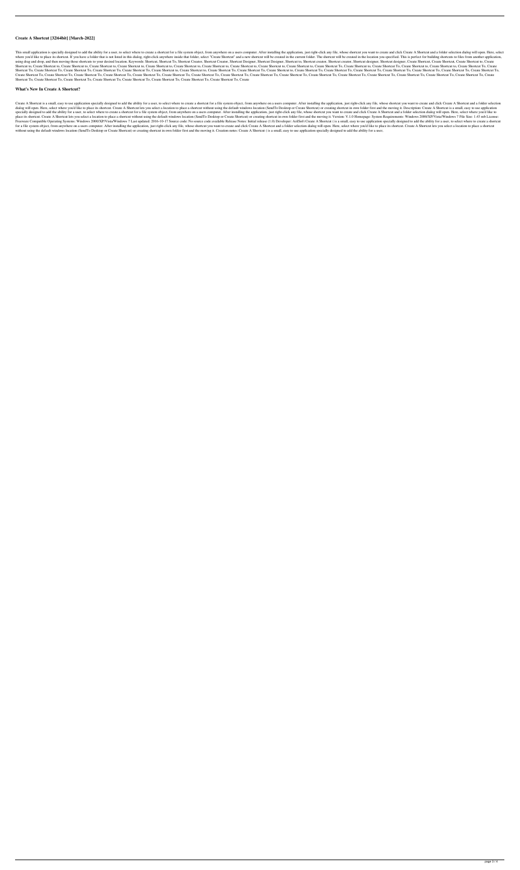## **Create A Shortcut [32|64bit] [March-2022]**

This small application is specially designed to add the ability for a user, to select where to create a shortcut for a file system object, from anywhere on a users computer. After installing the application, just right-cli where you'd like to place its shortcut. If you have a folder that is not listed in this dialog, right-click anywhere inside that folder, select "Create Shortcut" and a new shortcut will be created in the current folder. Th using drag and drop, and then moving those shortcuts to your desired location. Keywords: Shortcut, Shortcut To, Shortcut Creator, Shortcut Designer, Shortcut to, Shortcut to, Shortcut creator, Shortcut designer, Shortcut d Shortcut to, Create Shortcut to, Create Shortcut to, Create Shortcut to, Create Shortcut to, Create Shortcut to, Create Shortcut to, Create Shortcut to, Create Shortcut to, Create Shortcut to, Create Shortcut To, Create Sh Shortcut To, Create Shortcut To, Create Shortcut To, Create Shortcut To, Create Shortcut To, Create Shortcut to, Create Shortcut To, Create Shortcut to, Create Shortcut To, Create Shortcut To, Create Shortcut To, Create Sh Create Shortcut To, Create Shortcut To, Create Shortcut To, Create Shortcut To, Create Shortcut To, Create Shortcut To, Create Shortcut To, Create Shortcut To, Create Shortcut To, Create Shortcut To, Create Shortcut To, Cr Shortcut To, Create Shortcut To, Create Shortcut To, Create Shortcut To, Create Shortcut To, Create Shortcut To, Create Shortcut To, Create Shortcut To, Create

### **What's New In Create A Shortcut?**

Create A Shortcut is a small, easy to use application specially designed to add the ability for a user, to select where to create a shortcut for a file system object, from anywhere on a users computer. After installing the dialog will open. Here, select where you'd like to place its shortcut. Create A Shortcut lets you select a location to place a shortcut without using the default windows location (SendTo Desktop or Create Shortcut) or crea specially designed to add the ability for a user, to select where to create a shortcut for a file system object, from anywhere on a users computer. After installing the application, just right-click any file, whose shortcu place its shortcut. Create A Shortcut lets you select a location to place a shortcut without using the default windows location (SendTo Desktop or Create Shortcut) or creating shortcut in own folder first and the moving it Freeware Compatible Operating Systems: Windows 2000/XP/Vista/Windows 7 Last updated: 2016-10-17 Source code: No source code available Release Notes: Initial release (1.0) Developer: ArilSoft Create A Shortcut ( is a small, for a file system object, from anywhere on a users computer. After installing the application, just right-click any file, whose shortcut you want to create and click Create A Shortcut and a folder selection dialog will ope without using the default windows location (SendTo Desktop or Create Shortcut) or creating shortcut in own folder first and the moving it. Creation notes: Create A Shortcut ( is a small, easy to use application specially d